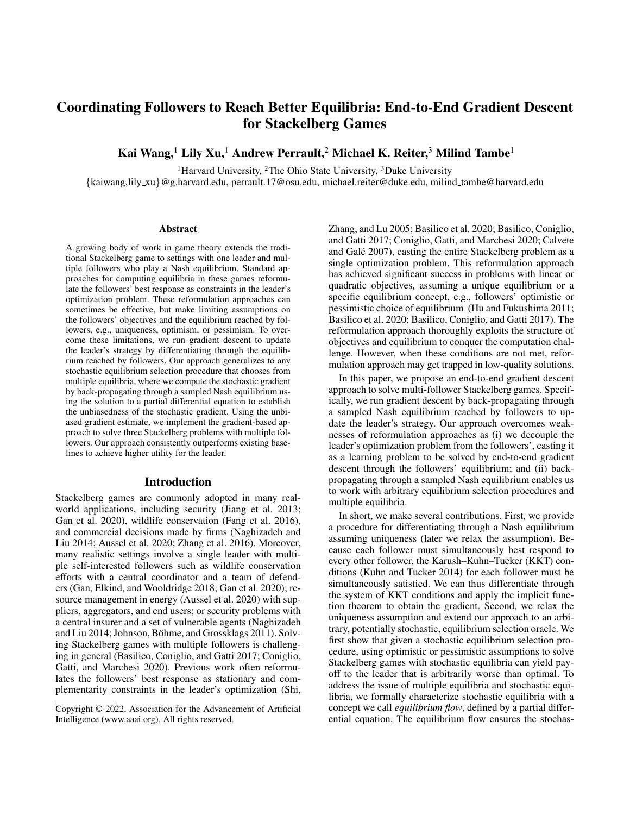# Coordinating Followers to Reach Better Equilibria: End-to-End Gradient Descent for Stackelberg Games

Kai Wang,<sup>1</sup> Lily Xu,<sup>1</sup> Andrew Perrault,<sup>2</sup> Michael K. Reiter,<sup>3</sup> Milind Tambe<sup>1</sup>

<sup>1</sup>Harvard University, <sup>2</sup>The Ohio State University, <sup>3</sup>Duke University

{kaiwang,lily xu}@g.harvard.edu, perrault.17@osu.edu, michael.reiter@duke.edu, milind tambe@harvard.edu

#### Abstract

A growing body of work in game theory extends the traditional Stackelberg game to settings with one leader and multiple followers who play a Nash equilibrium. Standard approaches for computing equilibria in these games reformulate the followers' best response as constraints in the leader's optimization problem. These reformulation approaches can sometimes be effective, but make limiting assumptions on the followers' objectives and the equilibrium reached by followers, e.g., uniqueness, optimism, or pessimism. To overcome these limitations, we run gradient descent to update the leader's strategy by differentiating through the equilibrium reached by followers. Our approach generalizes to any stochastic equilibrium selection procedure that chooses from multiple equilibria, where we compute the stochastic gradient by back-propagating through a sampled Nash equilibrium using the solution to a partial differential equation to establish the unbiasedness of the stochastic gradient. Using the unbiased gradient estimate, we implement the gradient-based approach to solve three Stackelberg problems with multiple followers. Our approach consistently outperforms existing baselines to achieve higher utility for the leader.

#### Introduction

Stackelberg games are commonly adopted in many realworld applications, including security (Jiang et al. 2013; Gan et al. 2020), wildlife conservation (Fang et al. 2016), and commercial decisions made by firms (Naghizadeh and Liu 2014; Aussel et al. 2020; Zhang et al. 2016). Moreover, many realistic settings involve a single leader with multiple self-interested followers such as wildlife conservation efforts with a central coordinator and a team of defenders (Gan, Elkind, and Wooldridge 2018; Gan et al. 2020); resource management in energy (Aussel et al. 2020) with suppliers, aggregators, and end users; or security problems with a central insurer and a set of vulnerable agents (Naghizadeh and Liu 2014; Johnson, Böhme, and Grossklags 2011). Solving Stackelberg games with multiple followers is challenging in general (Basilico, Coniglio, and Gatti 2017; Coniglio, Gatti, and Marchesi 2020). Previous work often reformulates the followers' best response as stationary and complementarity constraints in the leader's optimization (Shi,

Zhang, and Lu 2005; Basilico et al. 2020; Basilico, Coniglio, and Gatti 2017; Coniglio, Gatti, and Marchesi 2020; Calvete and Galé 2007), casting the entire Stackelberg problem as a single optimization problem. This reformulation approach has achieved significant success in problems with linear or quadratic objectives, assuming a unique equilibrium or a specific equilibrium concept, e.g., followers' optimistic or pessimistic choice of equilibrium (Hu and Fukushima 2011; Basilico et al. 2020; Basilico, Coniglio, and Gatti 2017). The reformulation approach thoroughly exploits the structure of objectives and equilibrium to conquer the computation challenge. However, when these conditions are not met, reformulation approach may get trapped in low-quality solutions.

In this paper, we propose an end-to-end gradient descent approach to solve multi-follower Stackelberg games. Specifically, we run gradient descent by back-propagating through a sampled Nash equilibrium reached by followers to update the leader's strategy. Our approach overcomes weaknesses of reformulation approaches as (i) we decouple the leader's optimization problem from the followers', casting it as a learning problem to be solved by end-to-end gradient descent through the followers' equilibrium; and (ii) backpropagating through a sampled Nash equilibrium enables us to work with arbitrary equilibrium selection procedures and multiple equilibria.

In short, we make several contributions. First, we provide a procedure for differentiating through a Nash equilibrium assuming uniqueness (later we relax the assumption). Because each follower must simultaneously best respond to every other follower, the Karush–Kuhn–Tucker (KKT) conditions (Kuhn and Tucker 2014) for each follower must be simultaneously satisfied. We can thus differentiate through the system of KKT conditions and apply the implicit function theorem to obtain the gradient. Second, we relax the uniqueness assumption and extend our approach to an arbitrary, potentially stochastic, equilibrium selection oracle. We first show that given a stochastic equilibrium selection procedure, using optimistic or pessimistic assumptions to solve Stackelberg games with stochastic equilibria can yield payoff to the leader that is arbitrarily worse than optimal. To address the issue of multiple equilibria and stochastic equilibria, we formally characterize stochastic equilibria with a concept we call *equilibrium flow*, defined by a partial differential equation. The equilibrium flow ensures the stochas-

Copyright © 2022, Association for the Advancement of Artificial Intelligence (www.aaai.org). All rights reserved.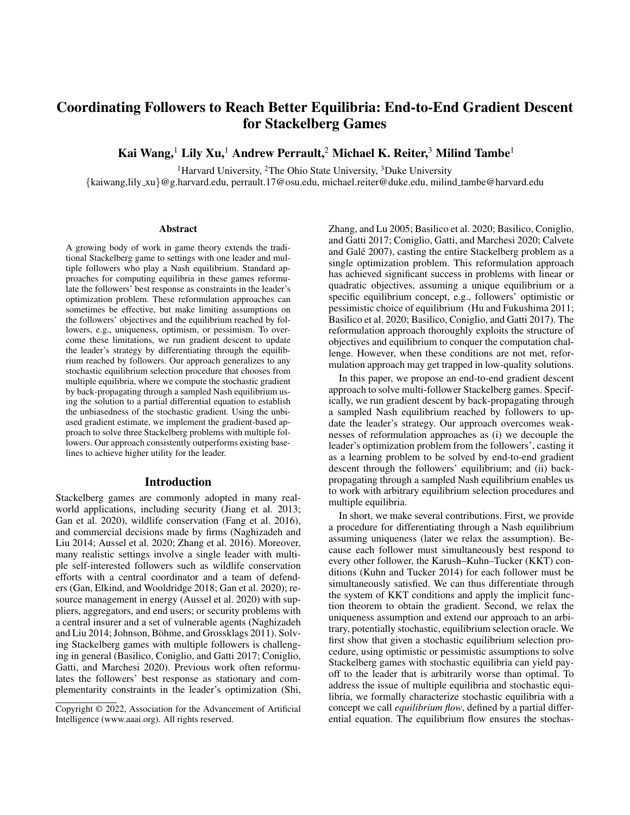tic gradient computed from the sampled Nash equilibrium is unbiased, allowing us to run stochastic gradient descent to differentiate through the stochastic equilibrium. We also discuss how to compute the equilibrium flow either from KKT conditions under certain sufficient conditions or by solving the partial differential equation. This paper is the first to guarantee that the gradient computed from an arbitrary stochastic equilibrium sampled from multiple equilibria is a differentiable, unbiased sample. Third, to address the challenge that the feasibility of the leader's strategy may depend on the equilibrium reached by the followers (e.g., when a subsidy paid to the followers is conditional on their actions as in (Rotemberg 2019; Mortensen and Pissarides 2001)), we use an augmented Lagrangian method to convert the constrained optimization problem into an unconstrained one. The Lagrangian method combined with our unbiased Nash equilibrium gradient estimate enables us to run stochastic gradient descent to optimize the leader's payoff while also satisfying the equilibrium-dependent constraints.

We conduct experiments to evaluate our approach in three different multi-follower Stackelberg games: normal-form games with a leader offering subsidies to followers, Stackelberg security games with a planner coordinating multiple defenders, and cyber insurance games with an insurer and multiple customers. Across all three examples, the leader's strategy space is constrained by a budget constraint that depends on the equilibrium reached by the followers. Our gradient-based method provides a significantly higher payoff to the leader evaluated at equilibrium, compared to existing approaches which fail to optimize the leader's utility and often produce large constraint violations. These results, combined with our theoretical contributions, demonstrate the strength of our end-to-end gradient descent algorithm in solving Stackelberg games with multiple followers.

#### Related Work

Stackelberg models with multiple followers Multifollower Stackelberg problems have received a lot of attention in domains with a hierarchical leader-follower structure (Nakamura 2015; Zhang et al. 2016; Liu 1998; Solis, Clempner, and Poznyak 2016; Sinha et al. 2014). Although single-follower normal-form Stackelberg games can be solved in polynomial time (Korzhyk, Conitzer, and Parr 2010; Blum et al. 2019), the problem becomes NP-hard when multiple followers are present, even when the equilibrium is assumed to be either optimistic or pessimistic (Basilico et al. 2020; Coniglio, Gatti, and Marchesi 2020). Existing approaches (Basilico et al. 2020; Aussel et al. 2020) primarily leverage the leader-follower structure in a bilevel optimization formulation (Colson, Marcotte, and Savard 2007), which can be solved by reformulating the followers' best response into non-convex stationary and complementarity constraints in the leader's optimization problem (Sinha, Soun, and Deb 2019). Various optimization techniques, including branch-and-bound (Coniglio, Gatti, and Marchesi 2020) and mixed-integer programs (Basilico et al. 2020), are adopted to solve the reformulated problems. However, these reformulation approaches highly rely on well-behaved problem structure, which may encounter large mixed integer

non-linear programs when the followers have non-quadratic objectives. Additionally, these approaches mostly assume uniqueness of equilibrium or a specific equilibrium concept, e.g., optimistic or pessimistic, which may not be feasible (Gan, Elkind, and Wooldridge 2018). Previous work on the stochastic equilibrium drawn from multiple equilibria in Stackelberg problems (Lina and Jacqueline 1996) mainly focuses on the existence of an optimal solution, while our work focuses on actually solving the Stackelberg problems to identify the best action for the leader.

In contrast, our approach solves the Stackelberg problem by differentiating through the equilibrium reached by followers to run gradient descent in the leader's problem. Our approach also applies to any stochastic equilibrium drawn from multiple equilibria by establishing the unbiasedness of the gradient computed from a sampled equilibrium using a partial differential equation.

Differentiable optimization When there is only a single follower optimizing his utility function, differentiating through a Nash equilibrium reduces to the framework of differentiable optimization (Pirnay, López-Negrete, and Biegler 2012; Amos and Kolter 2017; Agrawal et al. 2019; Bai, Kolter, and Koltun 2019). When there are two followers with conflicting objectives (zero-sum), differentiating through a Nash equilibrium reduces to a differentiable minimax formulation (Ling, Fang, and Kolter 2018, 2019). Lastly, when there are multiple followers, Li et al. (2020) follow the sensitivity analysis and variational inequalities (VIs) literature (Mertikopoulos and Zhou 2019; Ui 2016; Dafermos 1988; Parise and Ozdaglar 2019) to express a unique Nash equilibrium as a fixed-point to the projection operator in VIs to differentiate through the equilibrium. Li et al. (2021) further extend the same approach to structured hierarchical games. Nonetheless, these approaches rely on the uniqueness of Nash equilibrium. In contrast, our approach generalizes to multiple equilibria.

## Stackelberg Games With a Single Leader and Multiple Followers

In this paper, we consider a Stackelberg game composed of one leader and  $n$  followers. The leader first chooses a strategy  $\pi \in \Pi$  that she announces, then the followers observe the leader's strategy and respond accordingly. When the leader's strategy  $\pi$  is determined, the followers form an *n*-player simultaneous game with  $n$  followers, where the  $i$ -th follower minimizes his own objective function  $f_i(x_i, x_{i}, \pi)$ , which depends on his own action  $x_i \in \mathcal{X}_i$ , other followers' actions  $x_i \in \mathcal{X}_i$ , and the leader's strategy  $\pi \in \Pi$ . We assume that each strategy space is characterized by linear constraints:  $\mathcal{X}_i = \{x_i \mid A_i x_i = b_i, G_i x_i \leq h_i\}.$ We also assume perfect information—all the followers know other followers' utility functions and strategy spaces.

## Nash Equilibria

We call  $\boldsymbol{x} = \{x_1, x_2, \dots, x_n\}$  a Nash equilibrium if no follower has an incentive to deviate from their current strategy,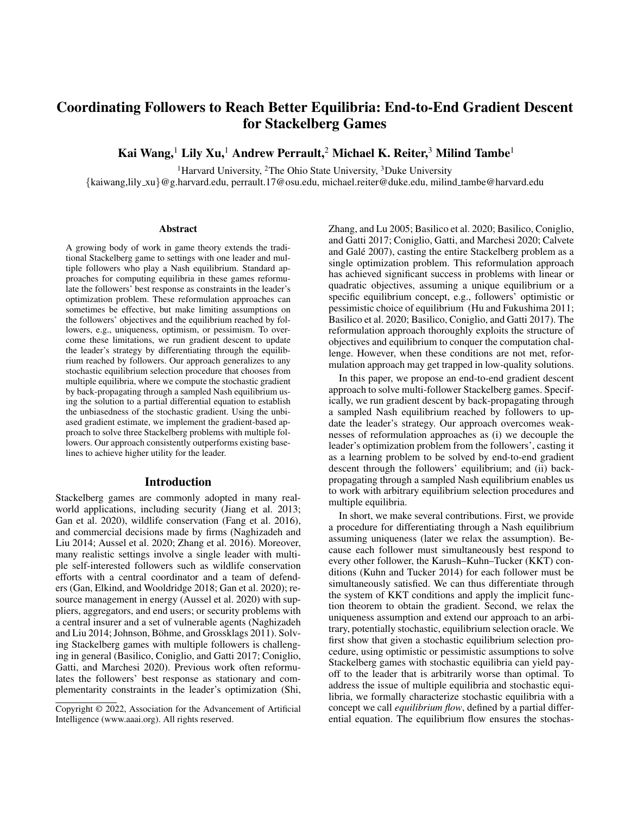

Figure 1: Given leader's strategy  $\pi$ , followers respond to the leader's strategy and reach a Nash equilibrium  $x$ . The leader's payoff and the constraint depend on both the leader's strategy  $\pi$  and the equilibrium  $x$ .

where we assume each follower *minimizes*<sup>1</sup> his objective:

$$
\forall i: f_i(x_i, x_{i}, \pi) \le f_i(x_i, x_{i}, \pi) \quad \forall x_i \in \mathcal{X}_i. \tag{1}
$$

As shown in Figure 1, when the leader's strategy  $\pi$  is chosen and passed to an n-player game composed of all followers, we assume the followers converge to a Nash equilibrium  $x$ .

In the first section, we assume there is a unique Nash equilibrium returned by an oracle  $x = \mathcal{O}(\pi)$ . We later generalize to the case where there are multiple equilibria with a stochastic equilibrium selection oracle which randomly outputs an equilibrium  $x \sim \mathcal{O}(\pi)$  drawn from a distribution with probability density function  $p(\cdot, \pi) : \mathcal{X} \to \mathbb{R}_{0}$ .

## Leader's Optimization Problem

When the leader chooses a strategy  $\pi$  and all the followers reach an equilibrium  $x$ , the leader receives a payoff  $f(x, \pi)$  and a constraint value  $g(x, \pi)$ . The goal of the Stackelberg leader is to choose an optimal  $\pi$  to maximize her utility while satisfying the constraint.

Definition 1 (Stackelberg problems with multiple followers and unique Nash equilibrium). *The leader chooses a strategy* π *to maximize her utility function* f *subject to constraints* g *evaluated at the unique equilibrium* x *induced by an equilibrium oracle* O*, i.e.,:*

$$
\max_{\pi} f(\boldsymbol{x}, \pi) \quad \text{s.t.} \quad \boldsymbol{x} \ = \mathcal{O}(\pi), \quad g(\boldsymbol{x}, \pi) \leq 0. \tag{2}
$$

This problem is hard because the objective  $f(x, \pi)$  depends on the Nash equilibrium  $x$  reached by the followers. Moreover, notice that the feasibility constraint  $g(x, \pi)$ also depends on the equilibrium, which creates a complicated feasible region for the leader's strategy  $\pi$ .

### Gradient Descent Approach

To solve the leader's optimization problem, we propose to run gradient descent to optimize the leader's objective. This requires us to compute the following gradient:

$$
\frac{df(\boldsymbol{x},\pi)}{d\pi}=f_{\pi}(\boldsymbol{x},\pi)+f_{\boldsymbol{x}}(\boldsymbol{x},\pi)\cdot\frac{d\boldsymbol{x}}{d\pi}.
$$
 (3)

The terms  $f_{\pi}$ ,  $f_{\mathbf{x}}$  above are easy to compute since the payoff function  $f$  is explicitly given. The main challenge is to compute  $\frac{dx}{d\pi}$  because it requires estimating how the Nash equilibrium  $\bar{x}$  reached by followers responds to any change in the leader's strategy  $\pi$ .

## Gradient of Unique Nash Equilibrium

In this section, we assume a unique Nash equilibrium reached by followers. Motivated by the technique proposed by Amos and Kolter (2017), we show how to differentiate through multiple KKT conditions to derive the derivative of a Nash equilibrium.

#### Differentiating Through KKT Conditions

Given the leader's strategy  $\pi$ , we express the KKT conditions of follower *i* with dual variables  $\lambda_i$  and  $\nu_i$  by:

$$
\begin{cases}\n\nabla_{x_i} f_i(x_i, x_i, \pi) + G_i^> \lambda_i + A_i^> \nu_i = 0 \\
\text{Diag}(\lambda_i)(G_i x_i - h_i) = 0 \\
A_i x_i = b_i.\n\end{cases} \tag{4}
$$

We want to estimate the impact of  $\pi$  on the resulting Nash equilibrium  $x$ . Supposing the objective functions  $f_i \in C^2$ are twice-differentiable, we can compute the total derivative of the the KKT system in Equation 4 written in matrix form:

$$
\begin{bmatrix}\n\nabla_{x_ix_i}^2 f_i & \nabla_{x_ix_i}^2 f_i & G_i^> & A_i^> \\
Diag(\lambda_i)G_i & 0 & Diag(G_ix_i - h_i) & 0 \\
A_i & 0 & 0 & 0\n\end{bmatrix}\n\begin{bmatrix}\ndx_i \\
dx_i \\
d\lambda_i\n\end{bmatrix}
$$
\n
$$
= \begin{bmatrix}\n-\nabla_{\pi x_i}^2 f_i d\pi - dG_i^> \lambda_i - dA_i^> \nu_i \\
-\nDiag(\lambda_i) (dG_i x_i - dh_i) \\
db_i - dA_i x_i\n\end{bmatrix}.
$$

Since we assume the constraint matrices are constant,  $dG_i, dh_i, dA_i, db_i$  can be ignored. We concatenate the linear system for every follower i and move  $d\pi$  to the denominator:

$$
\begin{bmatrix}\n\nabla_{\mathbf{x}}F & G^> & A^> \\
\text{Diag}(\mathbf{\lambda})G & \text{Diag}(G\mathbf{x} - h) & 0 \\
A & 0 & 0\n\end{bmatrix}\n\begin{bmatrix}\n\frac{d\mathbf{x}}{dx} \\
\frac{d\mathbf{\lambda}}{dx} \\
\frac{d\mathbf{x}}{dx}\n\end{bmatrix} =\n\begin{bmatrix}\n-\nabla_{\pi}F \\
0 \\
0\n\end{bmatrix}
$$
\n(5)

where  $F = [(\nabla_{x_1} f_1)^>, \dots, (\nabla_{x_n} f_n)^>]$  is a column vector, and  $G = \text{Diag}(G_1, G_2, \ldots, G_n)$ ,  $A =$  $Diag(A_1, A_2, \ldots, A_n)$  are the diagonalized placement of a list of matrices. In particular, the KKT matrix on the lefthand side of Equation 5 matches the sensitivity analysis of Nash equilibria using variational inequalities (Facchinei, Kanzow, and Sagratella 2014; Dafermos 1988).

Proposition 1. *When the Nash equilibrium is unique and the KKT matrix in Equation 5 is invertible, the implicit function theorem holds and*  $\frac{d\mathbf{x}}{d\pi}$  *can be uniquely determined by Equation 5.*

Proposition 1 ensures the sufficient conditions for applying Equation 5 to compute  $\frac{dx}{d\pi}$ . Under these sufficient conditions, we can compute Equation 3 using Equation 5.

#### Gradient of Stochastic Equilibrium

In the previous section, we showed how to compute the gradient of a Nash equilibrium when the equilibrium is unique. However, this can be restrictive because Stackelberg games with multiple followers often have multiple equilibria that the followers can stochastically reach one. For example, both selfish routing games in the traffic setting (Roughgarden 2004) and security games with multiple defenders (Gan,

<sup>&</sup>lt;sup>1</sup>We use minimization formulation to align with the convention in convex optimization. In our experiments, examples of maximization problems are used, but the same approach applies.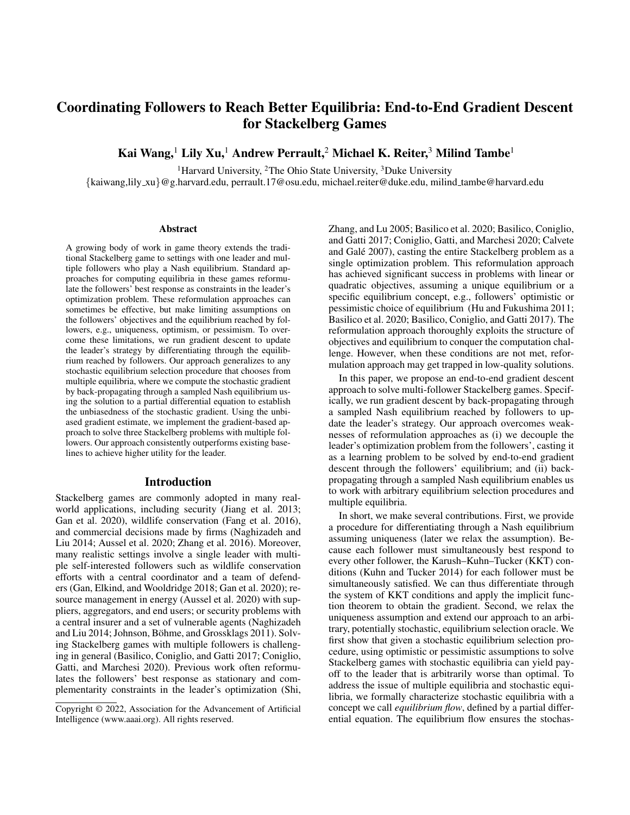

Figure 2: Payoff matrices from Theorem 1 where the leader has 3 strategies. Follower payoffs for each strategy in (a)–(c) where both followers receive the same payoff; leader payoffs in (d).

Elkind, and Wooldridge 2018) can have multiple equilibria that are reached in multiple independent runs.

In this section, we first demonstrate the importance of stochastic equilibrium by showing that optimizing over optimistic or pessimistic equilibrium could lead to arbitrarily bad leader's payoff under the stochastic setting. Second, we generalize our gradient computation to the case with multiple equilibria, allowing the equilibrium oracle  $\mathcal O$  to stochastically return a sample equilibrium from a distribution of multiple equilibria. Lastly, we discuss how to compute the gradient of different types of equilibria and its limitation.

#### Importance of Stochastic Equilibrium

When the equilibrium oracle is stochastic, our Stackelberg problem becomes a stochastic optimization problem:

Definition 2 (Stackelberg problems with multiple followers and stochastic Nash equilibria). *The leader chooses a strategy* π *to optimize her expected utility and satisfy the constraints in expectation under a given stochastic equilibrium oracle* O*:*

$$
\max_{\pi} \underset{\mathbf{x}}{\mathbb{E}} \left[ f(\mathbf{x}, \pi) - s.t. \underset{\mathcal{O}(\pi)}{\mathbb{E}} g(\mathbf{x}, \pi) \leq 0. \right] \tag{6}
$$

In particular, we show that if we ignore the stochasticity of equilibria by simply assuming optimistic or pessimistic equilibria, the leader's expected payoff can be arbitrarily worse than the optimal one.

Theorem 1. *Assuming the followers stochastically reach a Nash equilibrium drawn from a distribution over all equilibria, solving a Stackelberg game under the assumptions of optimistic or pessimistic equilibrium can give the leader expected payoff that is arbitrarily worse than the optimal one.*

*Proof.* We consider a Stackelberg game with one leader and two followers (row and column player) with no constraint. The leader can choose 3 different strategies, each corresponding to a payoff matrix in Figure  $2(a)-2(c)$ , where both followers receive the same payoff in the entry when they choose the corresponding row and column. In each payoff matrix, there are three pure Nash equilibria; we assume the followers reach any of them uniformly at random. After the followers reach a Nash equilibrium, the leader receives the corresponding entry in the payoff matrix in Figure 2(d).

Under the optimistic assumption, the leader would choose strategy 1, expecting followers to break the tie in favor of the leader, yielding payoff  $C$ . Instead, the three followers select a Nash equilibria uniformly at random, yielding expected payoff  $\frac{C+0-C}{3} = 0$ . Under the pessimistic assump-

tion, the leader chooses strategy 2, anticipating and receiving an expected payoff of zero. Under the correct stochastic assumption, she chooses strategy 3 with expected payoff  $\frac{C \epsilon + C \epsilon}{3} = \frac{2}{3}C - \epsilon \gg 0$ , which can be arbitrarily higher than the optimistic or pessimistic payoff when  $C \to \infty$ .  $\square$ 

Theorem 1 justifies why we need to work on stochastic equilibrium when the equilibrium is drawn stochastically in Definition 2. In the following section, we show how to apply gradient descent to optimize the leader's payoff by differentiating through followers' equilibria with a stochastic oracle.

#### Equilibrium Flow and Unbiased Gradient Estimate

Our goal is to compute the gradient of the objective in Equation 6:  $\frac{d}{d\pi} \mathbb{E}_{\bm{x}}$   $O(\pi) f(\bm{x}, \pi)$ . However, since the distribution of the oracle  $\mathcal{O}(\pi)$  can also depend on  $\pi$ , we cannot easily exchange the gradient operator into the expectation.

To address the dependency of the oracle  $\mathcal{O}(\pi)$  on  $\pi$ , we use  $p(x, \pi)$  to represent the probability density function of the oracle  $x \sim \mathcal{O}(\pi)$  for every  $\pi$ . We want to study how the oracle distribution changes as the leader's strategy  $\pi$ changes, which we denote by *equilibrium flow* as defined by the following partial differential equation:

**Definition 3** (Equilibrium Flow). We call  $v(x, \pi)$  the equi*librium flow of the oracle* O *with probability density function*  $p(\mathbf{x}, \pi)$  *if*  $v(\mathbf{x}, \pi)$  *satisfies the following equation:* 

$$
\frac{\partial}{\partial \pi}p(\boldsymbol{x},\pi) = -\nabla_{\boldsymbol{x}} \cdot (p(\boldsymbol{x},\pi)v(\boldsymbol{x},\pi)). \tag{7}
$$

This differential equation is similar to many differential equations of various conservation laws, where  $v(x, \pi)$ serves as a velocity term to characterize the movement of equilibria. In the following theorem, we use the equilibrium flow  $v(x, \pi)$  to address the dependency of  $\mathcal{O}(\pi)$  on  $\pi$ .

**Theorem 2.** *If*  $v(x, \pi)$  *is the equilibrium flow of the stochastic equilibrium oracle*  $\mathcal{O}(\pi)$ *, we have:* 

$$
\frac{d}{d\pi} \mathbb{E}_{\boldsymbol{x}} \quad_{\mathcal{O}(\pi)} f(\boldsymbol{x}, \pi) \n= \mathbb{E}_{\boldsymbol{x}} \quad_{\mathcal{O}(\pi)} [f_{\pi}(\boldsymbol{x}, \pi) + f_{\boldsymbol{x}}(\boldsymbol{x}, \pi) \cdot v(\boldsymbol{x}, \pi)].
$$
\n(8)

*Proof sketch.* To compute the derivative on the left-hand side, we can expand the expectation by:

$$
\frac{d}{d\pi} \mathbb{E}_{\boldsymbol{x}} \quad_{\mathcal{O}(\pi)} f(\boldsymbol{x}, \pi) = \frac{d}{d\pi} \quad f(\boldsymbol{x}, \pi) p(\boldsymbol{x}, \pi) d\boldsymbol{x}
$$
\n
$$
= p(\boldsymbol{x}, \pi) \frac{\partial}{\partial \pi} f(\boldsymbol{x}, \pi) + f(\boldsymbol{x}, \pi) \frac{\partial}{\partial \pi} p(\boldsymbol{x}, \pi) d\boldsymbol{x}
$$
\n
$$
= \mathbb{E}_{\boldsymbol{x}} \quad_{\mathcal{O}(\pi)} f_{\pi}(\boldsymbol{x}, \pi) + f(\boldsymbol{x}, \pi) \frac{\partial}{\partial \pi} p(\boldsymbol{x}, \pi) d\boldsymbol{x}. \quad (9)
$$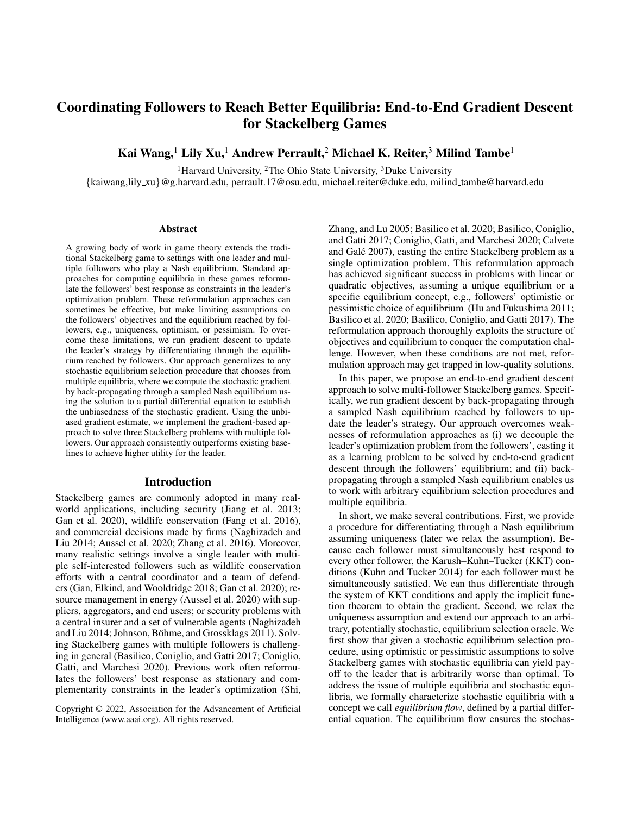We substitute the term  $\frac{\partial}{\partial \pi} p = -\nabla_x \cdot (p \cdot v)$  by the definition of equilibrium flow, and apply integration by parts and Stokes' theorem<sup>2</sup> to the right-hand side of Equation 9 to get Equation 8. More details can be found in the appendix.  $\Box$ 

Theorem 2 extends the derivative of Nash equilibrium to the case of stochastic equilibrium randomly drawn from multiple equilibria. Specifically, Equation 9 offers an efficient unbiased gradient estimate by sampling an equilibrium from the stochastic oracle to compute the right-hand side of Equation 9. Theorem 2 also matches to Equation 3, where the role of equilibrium flow  $v(x, \pi)$  coincides with the role of  $\frac{d\boldsymbol{x}}{d\pi}$  in Equation 3.

#### How to Determine Equilibrium Flow

The only remaining question is how to determine the equilibrium flow. Given the leader's strategy  $\pi$ , there are two types of equilibria: (i) isolated equilibria and (ii) nonisolated equilibria. We first show that the solution to Equation 5 matches the equilibrium flow for every equilibrium in case (i) when the probability of sampling the equilibrium is locally fixed.

Theorem 3. *Given the leader's strategy* π *and a sampled equilibrium*  $x$ *, if (1) the KKT matrix at*  $(x, \pi)$  *is invertible and (2)* x *is sampled with a fixed probability locally, the solution to Equation 5 is a homogeneous solution to Equation 7 and matches the equilibrium flow*  $v(\pi, x)$  *locally.* 

Theorem 3 ensures that when the sampled equilibrium behaves like a unique equilibrium locally, the solution to Equation 5 matches the equilibrium flow of the sampled equilibrium. In particular, Theorem 3 does not require all equilibria are isolated; it works as long as the sampled equilibrium satisfies the sufficient conditions. In contrast, the study in multiple equilibria requires global isolation for the analysis to work. Together with Theorem 2, we can use the solution to Equation 5 as an unbiased equilibrium gradient estimate and run stochastic gradient descent accordingly.

Lastly, when the sufficient conditions in Theorem 3 are not satisfied, e.g., the KKT matrix becomes singular for any non-isolated equilibrium, the solution to Equation 5 does not match the equilibrium flow  $v(x, \pi)$ . In this case, to compute the equilibrium flow correctly, we rely on solving the partial differential equation in Equation 7. If the probability density function  $p(x, \pi)$  is explicitly given, we can directly solve Equation 7 to derive the equilibrium flow. If the probability density function  $p(x, \pi)$  is not given, we can use the empirical equilibrium distribution  $p^{\bar{0}}(x,\pi)$  constructed from the historical equilibrium samples of the oracle instead.

In practice, we hypothesize that even if the equilibria are not isolated and the corresponding KKT matrices are singular, solving degenerated version of Equation 5 still serves as a good approximation to the equilibrium flow. Therefore, we still use the solution to Equation 5 as an approximate of the equilibrium flow in the following sections and algorithms.

Algorithm 1: Augmented Lagrangian Method

1 **Initialization:**  $\pi = \pi_{\text{init}}$ , learning rate  $\gamma$ , multipliers  $\lambda = \lambda_0$ , slack variable  $s \geq 0, K = 100$ 

2 for iteration in 
$$
\{1, 2, \ldots\}
$$
 do

- 3 Define the objective to be Lagrangian  $\mathcal{L}(\pi, s; \lambda)$ defined in Equation 10
- 4 Compute a sampled gradient of  $\mathcal L$  by sampling  $x \sim \mathcal{O}(\pi)$ . Compute  $\frac{dx}{d\pi}$  by Equation 5

5 Update 
$$
\pi = \pi - \gamma \left( \frac{\partial L}{\partial \pi} + \frac{\partial L}{\partial x} \frac{dx}{d\pi} \right),
$$
  
\n $s = \max \{ s - \gamma \frac{\partial L}{\partial s}, 0 \}$ 

6 **if** iteration is a multiple of 
$$
K
$$
 then

7 | Update  $\lambda = \lambda - \mu(g(x, \pi) + s)$ 



## Gradient-Based Algorithm and Augmented Lagrangian Method

To solve both the optimization problems in Definition 1 and Definition 2, we implement our algorithm with (i) stochastic gradient descent with unbiased gradient access, and (ii) augmented Lagrangian method to handle the equilibrium-dependent constraints. We use the relaxation algorithm (Uryasev and Rubinstein 1994) as our equilibrium oracle  $O$ . The relaxation algorithm is a classic equilibrium finding algorithm that iteratively updates agents' strategies by best responding to other agents' strategies until convergence with guarantees (Krawczyk and Uryasev 2000).

Since the leader's strategy  $\pi$  is constrained by the followers' response, we adopt an augmented Lagrangian method (Bertsekas 2014) to convert the constrained problem to an unconstrained one with a Lagrangian objective. We introduce a slack variable  $s \geq 0$  to convert inequality constraints into equality constraints  $E_{\bm{x}}$   $O(\pi) g(\bm{x}, \pi)+\bm{s} = \bm{0}$ . Thus, the penalized Lagrangian can be written as:

$$
\mathcal{L}(\pi, \mathbf{s}; \boldsymbol{\lambda}) = - \mathbb{E}_{\mathbf{x}} \quad \bigcirc_{(\pi)} f(\mathbf{x}, \pi) + \boldsymbol{\lambda}^{\geq} (\mathbb{E}_{\mathbf{x}} \quad \bigcirc_{(\pi)} g(\mathbf{x}, \pi) + \mathbf{s}) + \frac{\mu}{2} ||\mathbb{E}_{\mathbf{x}} \quad \bigcirc_{(\pi)} g(\mathbf{x}, \pi) + \mathbf{s}||^{2}.
$$
 (10)

We run gradient descent on the minimization problem of the penalized Lagrangian  $\mathcal{L}(\pi, s; \lambda)$  and update the Lagrangian multipliers  $\lambda$  every fixed number of iterations, as described in Algorithm 1. The stochastic Stackelberg problem with multiple followers can be solved by running stochastic gradient descent with augmented Lagrangian methods, where Theorem 2 ensures the unbiasedness of the stochastic gradient estimate under the conditions in Theorem 3.

## Example Applications

We briefly describe three different Stackelberg games with one leader and multiple self-interested followers. Specifically, normal-form games with risk penalty has a unique Nash equilibrium, while other examples can have multiple.

#### Coordination in Normal-Form Games

A normal-form game (NFG) is composed of  $n$  follower players each with a payoff matrix  $U_i \in \mathbb{R}^{m_1}$  minum for all

 $2$ The analysis of integration by parts and Stokes' theorem applies to both Riemann and Lebesgue integral. Lebesgue integral is needed when the set of equilibria forms a measure-zero set.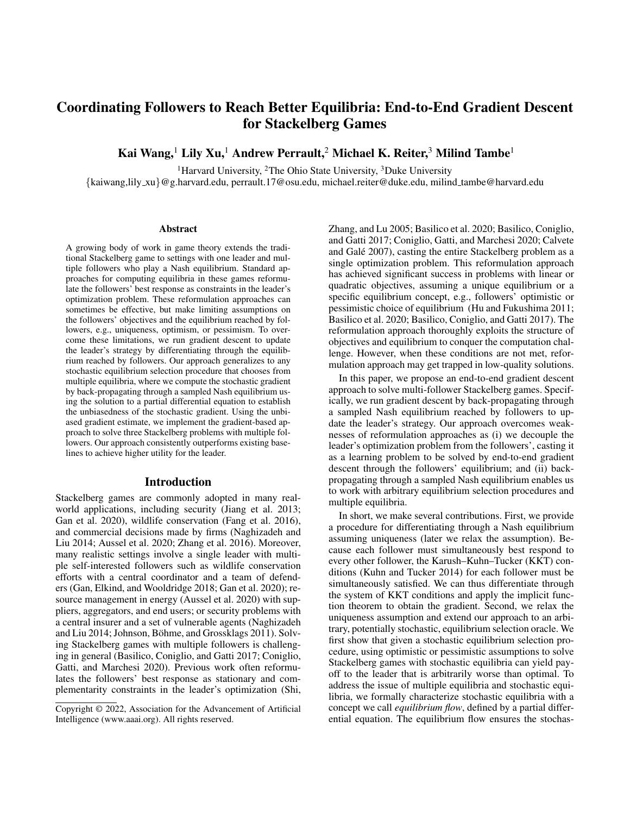$i \in [n]$ , where the *i*-th player has  $m_i$  available pure strategies. The set of all feasible mixed strategies of player i is  $x_i \in$  $\mathcal{X}_i = \{x \in [0,1]^{m_i} \mid 1^x x = 1\}.$  On the other hand, the leader can offer non-negative subsidies  $\pi_i \in \mathbb{R}^{m_1}_{\geq 0}$  $\binom{m_n}{k}$  to each player  $i$  to reward specific combinations of pure strategies. The subsidy scheme is used to control the payoff matrix and incentivize the players to change their strategies.

Once the subsidy scheme  $\pi$  is determined, each player i chooses a strategy  $x_i$  and receives the expected payoff  $U_i(\boldsymbol{x})$  $\sum_j x_{ij} \log x_{ij}$ , the Gibbs entropy of the chosen strategy  $x_i$ and subsidy  $\pi_i(x)$ , subtracting a penalty term  $H(x_i)$  = to represent the risk aversion of player  $i$ . Since the followers' objectives are concave, the risk aversion model yields a unique Nash equilibrium, which is known to be quantal response equilibrium (QRE) (McKelvey and Palfrey 1995; Ling, Fang, and Kolter 2018). Lastly, the leader's payoff is given by the social welfare across all players, which is the summation of the expected payoffs without subsidies:  $\sum_{i \geq [n]} U_i(x)$ . The subsidy scheme is subject to a budget constraint  $B$  on the total subsidy paid to all players.

### Security Games with Multiple Defenders

Stackelberg security games (SSGs) model a defender protecting a set of targets  $T$  from being attacked. We consider a scenario with a leader coordinator and  $n$  non-cooperative follower defenders each patrolling a subset  $T_i \subseteq T$  of the targets (Gan, Elkind, and Wooldridge 2018). Each defender  $i$ can determine the patrol effort spent on protecting the designated targets. We use  $0 \le x_{i,t} \le 1$  to denote the effort spent on target  $t \in T_i$  and the total effort is upper bounded by  $b_i$ . Defender i only receives a penalty  $U_{i,t} < 0$  when target  $t \in T_i$  in her protected region is attacked but unprotected by all defenders, and 0 otherwise.

Because the defenders are independent, the patrol strategies  $x$  can overlap, leading to a multiplicative unprotected probability  $\prod_i(1 - x_{i,t})$  of target t. Given the unprotected probabilities, attacks occur under a distribution  $p \in \mathbb{R}^{T}$ , where the distribution  $p$  is a function of the unprotected probabilities defined by a quantal response model. To encourage collaboration, the leader coordinator can selectively provide reimbursement  $\pi_{i,t} \geq 0$  to alleviate defender *i*'s loss when target  $t$  is attacked but unprotected, which encourages the defender to focus on protecting specific regions, reducing wasted effort on overlapping patrols. The leader's goal is to protect all targets, where the leader's objective is the total return across over all targets  $\sum_{t \geq T} U_t p_t \prod_i (1 - x_{i,t}).$ Lastly, the reimbursement scheme  $\pi$  must satisfy a budget constraint B on the total paid reimbursement.

#### Cyber Insurance Games With Multiple Customers

We adopt the cyber insurance model proposed by Naghizadeh et al. (2014) and Johnson et al. (2011) to study how agents in an interconnected cyber security network make decisions, where agents' decisions jointly affect each other's risk. There are  $n$  agents (followers) facing malicious cyberattacks. Each agent  $i$  can deploy an effort of protection  $x_i \in \mathbb{R}$  0 to his computer system, where investing in protection incurs a linear cost  $c_i x_i$ . Given the efforts x

spent by all the agents, the joint protection of agent  $i$  is  $\sum_{j=1}^{n} w_{ij} x_j$  with an interconnected effect parameterized by weights  $W = \{w_{ij}\}_{i,j \geq n}$ . The probability of being attacked is modeled by  $\sigma(-\sum_{j=1}^n w_{ij}x_j + L_i)$ , where  $\sigma$  is the sigmoid function and  $L_i$  refers to the value of agent i.

The Stackelberg leader is an external insurer who can customize insurance plans to influence agents' protection decisions. The leader can set an insurance plan  $\pi = \{I_i, \rho_i\}_{i \geq n}$ to agent *i*, where  $\rho_i$  is the premium paid by agent *i* to receive compensation  $I_i$  when attacked. Under the insurance plans and the interconnected effect, agents selfishly determine their effort spent on the protection  $x$  to maximize their payoff. On the other hand, the leader's objective is the total premium subtracting the compensation paid, while the constraints on the feasible insurance plans are the individual rationality of each customer, i.e., the compensation and premium must incentivize agents to purchase the insurance plan by making the payoff with insurance no worse than the payoff without. These constraints restrict the premium and compensation offered by the insurer.

### Experiments and Discussion

We compare our gradient-based Algorithm 1 (gradient) against various baselines in the three settings described above. In each experiment, we execute 30 independent runs (100 runs for SSGs) under different randomly generated instances. We run Algorithm 1 with learning rate  $\gamma = 0.01$ for 5,000 gradient steps and update the Lagrange multipliers every  $K = 100$  iterations. Our gradient-based method completes in about an hour across all settings—refer to the appendix for more details.

Baselines We compare against several baselines that can solve the stochastic Stackelberg problem with multiple followers with equilibrium-dependent objective and constraints. In particular, given the non-convexity of agents' objective functions, SSGs and cyber insurance games can have multiple, stochastic equilibria. Our first baseline is the leader's **initial** strategy  $\pi_0$ , which is a naive all-zero strategy in all three settings. Blackbox optimization baselines include sequential least squares programming (SLSQP) (Kraft et al. 1988) and the trust-region method (Conn, Gould, and Toint 2000), where the equilibrium encoded in the optimization problem is treated as a blackbox that needs to be repeatedly queried. Reformulation-based algorithm (Basilico et al. 2020; Aussel et al. 2020) is the state-of-the-art method to solve Stackelberg games with multiple followers. This approach reformulates the followers' equilibrium conditions into non-linear complementary constraints as a mathematical program with equilibrium constraints (Luo, Pang, and Ralph 1996), then solves the problem using branch-and-bound and mixed integer non-linear programming (we use a commercial solver, Knitro (Nocedal 2006)). The reformulation-based approach cannot handle arbitrary stochastic equilibria but can handle optimistic or pessimistic equilibria. We implement the optimistic version of the reformulation as our baseline, which could potentially suffer from a performance drop as exemplified in Theorem 1.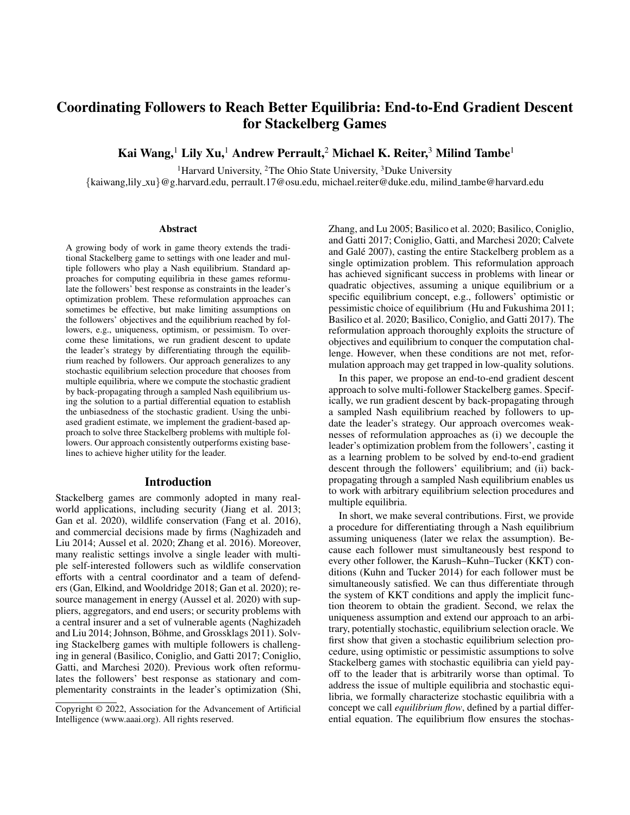

Figure 3: We plot the solution quality of the Stackelberg problems with multiple followers. In all three domains, our gradientbased method achieves significantly higher objective than all other approaches. In NFGs and SSGs, the baselines cannot meaningfully improve upon the default strategy of the leader's initialization due to the high dimensionality of the parameter  $\pi$ ; in cyber insurance games, SLSQP and reformulation both make some progress but still mostly with lower utility.



Figure 4: We plot the average budget constraint violation. Our gradient-based approach maintains low violation across all settings. SLSQP produces no violation in the first two domains because it fails to provide any meaningful improvement against the leader's initialization. Other baselines violate constraints more (often by orders of magnitude) despite less performance improvement.

#### Solution Quality

In Figure 3(a) and 3(b), we plot the leader's objective  $(y$ axis) versus various budgets for the paid subsidy  $(x\text{-axis})$ . Figure 3(c), shows the total revenue to the insurer  $(y\text{-axis})$ versus the risk aversion of agents  $(x\text{-axis})$ . Denoting the number of agents by  $n$  and the number of actions per agent by m, we have  $n = 3, 5, 10$  and  $m = 10, 50, 1$  in NFGs, SSGs, and cyber insurance games, respectively.

Our optimization baselines perform poorly in Figure 3(a) and 3(b) due to the high dimensionality of the environment parameter  $\pi$  in NFGs (dim $(\pi) = nm^n$ ) and SSGs  $(\dim(\pi) = nm)$ , respectively. In Figure 3(c), the dimensionality of cyber insurance games  $(\dim(\pi) = 2n)$  is smaller, where we can see that SLSQP and reformulation-based approaches start making some progress, but still less than our gradient-based approach. The main reason that blackbox methods do not work is due to the expensive computation of numerical gradient estimates. On the other hand, reformulation method fails to handle the mixed-integer non-linear programming problem reformulated from followers' best response and the constraints within a day.

### Constraint Violation

In Figure 4, we provide the average constraint violation across different settings. Blackbox optimization algorithms either become stuck at the initial point due to the inexact numerical gradient estimate or create large constraint violations due to the complexity of equilibrium-dependent constraints. The reformulation approach also creates large constraint violations due to the difficulty of handling large number of non-convex followers' constraints under highdimensional leader's strategy. In comparison, our method can handle equilibrium-dependent constraints by using an augmented Lagrangian method with an ability to tighten the budget constraint violation under a tolerance as shown. Although Figure 4 only plots the budget constraint violation, in our algorithm, we enforce that the equilibrium oracle runs until the equilibrium constraint violation is within a small tolerance  $10^{-6}$ , whereas other algorithms sometimes fail to satisfy such equilibrium constraints.

#### Conclusion

In this paper, we present a gradient-based approach to solve Stackelberg games with multiple followers by differentiating through followers' equilibrium to update the leader's strategy. Our approach generalizes to stochastic gradient descent when the equilibrium reached by followers is stochastically chosen from multiple equilibria. We establish the unbiasedness of the stochastic gradient by the equilibrium flow derived from a partial differential equation. To our knowledge, this work is the first to establish the unbiasedness of gradient computed from stochastic sample of multiple equilibria. Empirically, we implement our gradient-based algorithm on three different examples, where our method outperforms existing optimization and reformulation baselines.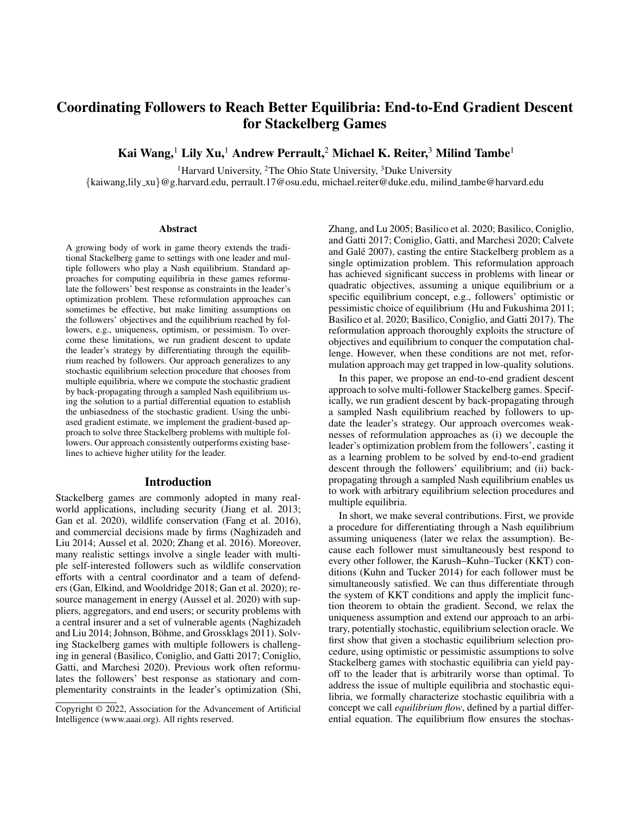## Acknowledgement

This research was supported by MURI Grant Number W911NF-17-1-0370. The computations in this paper were run on the FASRC Cannon cluster supported by the FAS Division of Science Research Computing Group at Harvard University.

## References

Agrawal, A.; Amos, B.; Barratt, S.; Boyd, S.; Diamond, S.; and Kolter, J. Z. 2019. Differentiable convex optimization layers. In *NeurIPS*.

Amos, B.; and Kolter, J. Z. 2017. OptNet: Differentiable optimization as a layer in neural networks. *ICML*.

Aussel, D.; Brotcorne, L.; Lepaul, S.; and von<br>Niederhäusern, L. 2020. A trilevel model for best A trilevel model for best response in energy demand-side management. *EJOR*.

Bai, S.; Kolter, J. Z.; and Koltun, V. 2019. Deep equilibrium models. In *NeurIPS*.

Basilico, N.; Coniglio, S.; and Gatti, N. 2017. Methods for finding leader–follower equilibria with multiple followers. *arXiv preprint arXiv:1707.02174*.

Basilico, N.; Coniglio, S.; Gatti, N.; and Marchesi, A. 2020. Bilevel programming methods for computing single-leadermulti-follower equilibria in normal-form and polymatrix games. *EJCO*.

Bertsekas, D. P. 2014. *Constrained optimization and Lagrange multiplier methods*. Academic press.

Blum, A.; Haghtalab, N.; Hajiaghayi, M.; and Seddighin, S. 2019. Computing Stackelberg Equilibria of Large General-Sum Games. In *International Symposium on Algorithmic Game Theory*, 168–182. Springer.

Calvete, H. I.; and Galé, C. 2007. Linear bilevel multifollower programming with independent followers. *Journal of Global Optimization*, 39(3): 409–417.

Colson, B.; Marcotte, P.; and Savard, G. 2007. An overview of bilevel optimization. *Annals of operations research*, 153(1): 235–256.

Coniglio, S.; Gatti, N.; and Marchesi, A. 2020. Computing a pessimistic stackelberg equilibrium with multiple followers: The mixed-pure case. *Algorithmica*, 82(5): 1189–1238.

Conn, A. R.; Gould, N. I.; and Toint, P. L. 2000. *Trust region methods*. SIAM.

Dafermos, S. 1988. Sensitivity analysis in variational inequalities. *Mathematics of Operations Research*, 13(3): 421–434.

Facchinei, F.; Kanzow, C.; and Sagratella, S. 2014. Solving quasi-variational inequalities via their KKT conditions. *Mathematical Programming*, 144(1-2): 369–412.

Fang, F.; Nguyen, T. H.; Pickles, R.; Lam, W. Y.; Clements, G. R.; An, B.; Singh, A.; Tambe, M.; Lemieux, A.; et al. 2016. Deploying PAWS: Field Optimization of the Protection Assistant for Wildlife Security. In *AAAI*.

Gan, J.; Elkind, E.; Kraus, S.; and Wooldridge, M. 2020. Mechanism Design for Defense Coordination in Security Games. In *AAMAS*.

Gan, J.; Elkind, E.; and Wooldridge, M. 2018. Stackelberg security games with multiple uncoordinated defenders. *AA-MAS*.

Hu, M.; and Fukushima, M. 2011. Variational inequality formulation of a class of multi-leader-follower games. *Journal of optimization theory and applications*, 151(3): 455–473.

Jiang, A. X.; Procaccia, A. D.; Qian, Y.; Shah, N.; and Tambe, M. 2013. Defender (mis) coordination in security games. *IJCAI*.

Johnson, B.; Böhme, R.; and Grossklags, J. 2011. Security games with market insurance. In *GameSec*. Springer.

Korzhyk, D.; Conitzer, V.; and Parr, R. 2010. Complexity of computing optimal stackelberg strategies in security resource allocation games. In *Proceedings of the AAAI Conference on Artificial Intelligence*, volume 24.

Kraft, D.; et al. 1988. A software package for sequential quadratic programming.

Krawczyk, J. B.; and Uryasev, S. 2000. Relaxation algorithms to find Nash equilibria with economic applications. *Environmental Modeling & Assessment*, 5(1): 63–73.

Kuhn, H. W.; and Tucker, A. W. 2014. Nonlinear programming. In *Traces and emergence of nonlinear programming*, 247–258. Springer.

Li, J.; Yu, J.; Nie, Y.; and Wang, Z. 2020. End-to-End Learning and Intervention in Games. *NeurIPS*.

Li, Z.; Jia, F.; Mate, A.; Jabbari, S.; Chakraborty, M.; Tambe, M.; and Vorobeychik, Y. 2021. Solving Structured Hierarchical Games Using Differential Backward Induction. *arXiv preprint arXiv:2106.04663*, abs/2106.04663.

Lina, M.; and Jacqueline, M. 1996. Hierarchical systems with weighted reaction set. In *Nonlinear optimization and Applications*, 271–282. Springer.

Ling, C. K.; Fang, F.; and Kolter, J. Z. 2018. What game are we playing? end-to-end learning in normal and extensive form games. *IJCAI*.

Ling, C. K.; Fang, F.; and Kolter, J. Z. 2019. Large scale learning of agent rationality in two-player zero-sum games. In *AAAI*.

Liu, B. 1998. Stackelberg-Nash equilibrium for multilevel programming with multiple followers using genetic algorithms. *Computers & Mathematics with Applications*, 36(7): 79–89.

Luo, Z.-Q.; Pang, J.-S.; and Ralph, D. 1996. *Mathematical programs with equilibrium constraints*. Cambridge University Press.

McKelvey, R. D.; and Palfrey, T. R. 1995. Quantal response equilibria for normal form games. *Games and economic behavior*.

Mertikopoulos, P.; and Zhou, Z. 2019. Learning in games with continuous action sets and unknown payoff functions. *Mathematical Programming*, 173(1): 465–507.

Mortensen, D. T.; and Pissarides, C. A. 2001. Taxes, subsidies and equilibrium labour market outcomes. *Available at SSRN 287319*.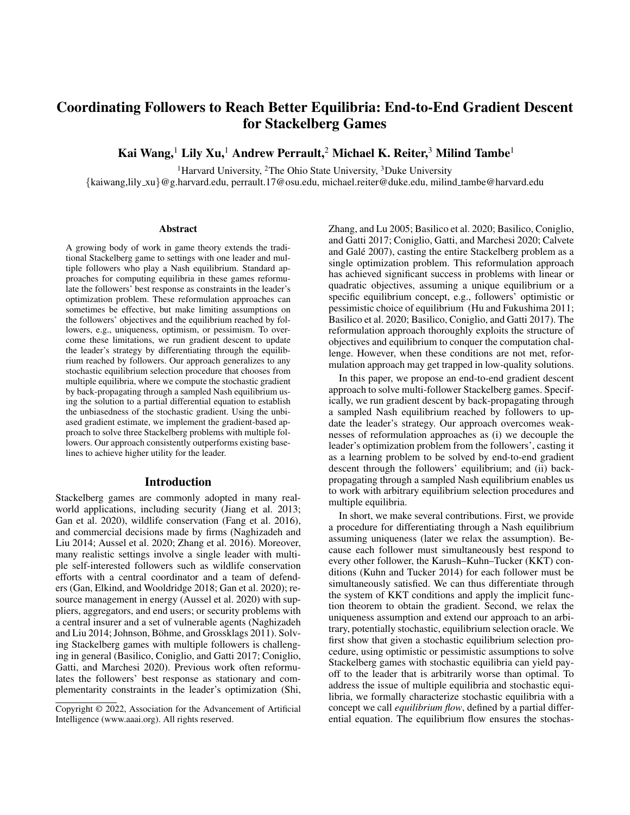Naghizadeh, P.; and Liu, M. 2014. Voluntary participation in cyber-insurance markets. In *Workshop on the Economics of Information Security (WEIS)*.

Nakamura, T. 2015. One-leader and multiple-follower Stackelberg games with private information. *Economics Letters*, 127: 27–30.

Nocedal, J. 2006. KNITRO: an integrated package for nonlinear optimization. In *Large-Scale Nonlinear Optimization*, 35–60. Springer.

Parise, F.; and Ozdaglar, A. 2019. A variational inequality framework for network games: Existence, uniqueness, convergence and sensitivity analysis. *Games and Economic Behavior*, 114: 47–82.

Pirnay, H.; López-Negrete, R.; and Biegler, L. T. 2012. Optimal sensitivity based on IPOPT. *Mathematical Programming Computation*, 4(4): 307–331.

Rotemberg, M. 2019. Equilibrium effects of firm subsidies. *American Economic Review*, 109(10): 3475–3513.

Roughgarden, T. 2004. Stackelberg scheduling strategies. *SIAM journal on computing*, 33(2): 332–350.

Shi, C.; Zhang, G.; and Lu, J. 2005. The Kth-best approach for linear bilevel multi-follower programming. *Journal of Global Optimization*, 33(4): 563–578.

Sinha, A.; Malo, P.; Frantsev, A.; and Deb, K. 2014. Finding optimal strategies in a multi-period multi-leader–follower Stackelberg game using an evolutionary algorithm. *Computers & Operations Research*, 41: 374–385.

Sinha, A.; Soun, T.; and Deb, K. 2019. Using Karush-Kuhn-Tucker proximity measure for solving bilevel optimization problems. *Swarm and evolutionary computation*, 44: 496– 510.

Solis, C. U.; Clempner, J. B.; and Poznyak, A. S. 2016. Modeling multileader–follower noncooperative Stackelberg games. *Cybernetics and Systems*, 47(8): 650–673.

Ui, T. 2016. Bayesian Nash equilibrium and variational inequalities. *Journal of Mathematical Economics*, 63: 139– 146.

Uryasev, S.; and Rubinstein, R. Y. 1994. On relaxation algorithms in computation of noncooperative equilibria. *IEEE Transactions on Automatic Control*, 39(6): 1263–1267.

Zhang, H.; Xiao, Y.; Cai, L. X.; Niyato, D.; Song, L.; and Han, Z. 2016. A multi-leader multi-follower Stackelberg game for resource management in LTE unlicensed. *IEEE Transactions on Wireless Communications*, 16(1): 348–361.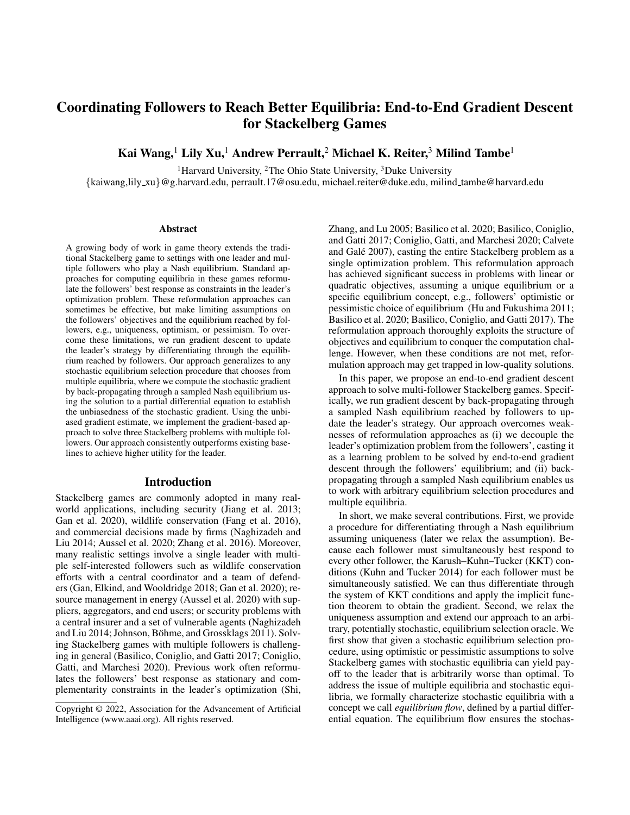## Implementation Details

We implement a differentiable PyTorch module to compute a sample of the followers' equilibria. The module takes the leader's strategy as input and outputs a Nash equilibrium computed in the forward pass using the relaxation algorithm. We use a random initialization to run the relaxation algorithm, which can reach to different equilibria depending on different initialization. Given the sampled equilibrium  $x$ computed in the forward pass, the backward pass is implemented by PyTorch autograd to compute all the secondorder derivatives to express Equation 5. The backward pass solves the linear system in Equation 5 analytically to derive  $\frac{dx}{d\pi}$  as an approximate of the equilibrium flow.

This PyTorch module is used in all three examples in our experiment. The implementation is flexible as we just need to adjust the followers' objectives and constraints, the relaxation algorithm and the gradient computation all directly apply.

## Proofs of Theorem 2 and Theorem 3

**Theorem 2.** *If*  $v(x, \pi)$  *is the equilibrium flow of the stochastic equilibrium oracle* O(π)*, we have:*

$$
\frac{d}{d\pi} \mathbb{E}_{\mathbf{x}} \quad_{\mathcal{O}(\pi)} f(\mathbf{x}, \pi) \n= \mathbb{E}_{\mathbf{x}} \quad_{\mathcal{O}(\pi)} [f_{\pi}(\mathbf{x}, \pi) + f_{\mathbf{x}}(\mathbf{x}, \pi) \cdot v(\mathbf{x}, \pi)].
$$
\n(8)

*Proof.* To compute the derivative on the left-hand side, we have to first expand the expectation because the equilibrium distribution is dependent on the environment parameter  $\pi$ :

$$
\frac{d}{d\pi} \mathbf{E}_{\alpha} \mathbf{F}_{\alpha} f(\mathbf{x}, \pi)
$$
\n
$$
= \frac{d}{d\pi} \mathbf{F}_{\mathbf{x}, 2X} f(\mathbf{x}, \pi) p(\mathbf{x}, \pi) d\mathbf{x}
$$
\n
$$
= \mathbf{F}_{\mathbf{x}, 2X} \left( p(\mathbf{x}, \pi) \frac{\partial}{\partial \pi} f(\mathbf{x}, \pi) + f(\mathbf{x}, \pi) \frac{\partial}{\partial \pi} p(\mathbf{x}, \pi) \right) d\mathbf{x}
$$
\n
$$
= \mathbf{F}_{\mathbf{x}, \alpha} \mathbf{F}_{\alpha} f(\mathbf{x}, \pi) + \mathbf{F}_{\mathbf{x}, 2X} f(\mathbf{x}, \pi) \frac{\partial}{\partial \pi} p(\mathbf{x}, \pi) d\mathbf{x} \tag{11}
$$

We further define  $\Phi(\mathbf{x}, \pi) = p(\mathbf{x}, \pi)v(\mathbf{x}, \pi)$ . By the equilibrium flow definition in Equation 7, we have

$$
\frac{\partial}{\partial \pi} p(\boldsymbol{x},\pi) = -\nabla_{\boldsymbol{x}} \cdot \boldsymbol{\Phi}(\boldsymbol{x},\pi)
$$

Therefore, the later term in Equation 11 can be computed by integration by parts and Stokes' theorem:

$$
f(\mathbf{x}, \pi) \frac{\partial}{\partial \pi} p(\mathbf{x}, \pi) d\mathbf{x}
$$
  
= - \t
$$
{}_{x2X} f(\mathbf{x}, \pi) \nabla_{\mathbf{x}} \cdot \Phi(\mathbf{x}, \pi) d\mathbf{x}
$$
  
= - \t
$$
{}_{x2X} \nabla_{\mathbf{x}} \cdot (f(\mathbf{x}, \pi) \Phi(\mathbf{x}, \pi)) d\mathbf{x}
$$
  
+ \t
$$
{}_{x2X} f_{\mathbf{x}}(\mathbf{x}, \pi) \Phi(\mathbf{x}, \pi) d\mathbf{x}
$$
  
= - \t
$$
{}_{\partial X} f(\mathbf{x}, \pi) \Phi(\mathbf{x}, \pi) dS + \tx2X f_{\mathbf{x}}(\mathbf{x}, \pi) \Phi(\mathbf{x}, \pi) d\mathbf{x}
$$

Therefore, we have

$$
\frac{d}{d\pi} \mathop{\mathbb{E}}_{\mathbf{x}} f(\mathbf{x}, \pi)
$$
\n
$$
= \mathop{\mathbb{E}}_{\mathbf{x}} \mathop{\mathbb{E}}_{\mathcal{O}(\pi)} f(\mathbf{x}, \pi) + \mathop{\mathbb{E}}_{\mathbf{x} \geq X} f(\mathbf{x}, \pi) \frac{\partial}{\partial \pi} p(\mathbf{x}, \pi) d\mathbf{x}
$$
\n
$$
= \mathop{\mathbb{E}}_{\mathbf{x}} \mathop{\mathbb{E}}_{\mathcal{O}(\pi)} f_{\pi}(\mathbf{x}, \pi) - \mathop{\mathbb{E}}_{\partial X} f(\mathbf{x}, \pi) \Phi(\mathbf{x}, \pi) dS
$$
\n
$$
+ \mathop{\mathbb{E}}_{\mathbf{x} \geq X} f_{\mathbf{x}}(\mathbf{x}, \pi) \Phi(\mathbf{x}, \pi) d\mathbf{x}
$$
\n
$$
= \mathop{\mathbb{E}}_{\mathbf{x}} \mathop{\mathbb{E}}_{\mathcal{O}(\pi)} f_{\pi}(\mathbf{x}, \pi) - \mathop{\mathbb{E}}_{\partial X} f(\mathbf{x}, \pi) p(\mathbf{x}, \pi) v(\mathbf{x}, \pi) dS
$$
\n
$$
+ \mathop{\mathbb{E}}_{\mathbf{x} \geq X} f_{\mathbf{x}}(\mathbf{x}, \pi) p(\mathbf{x}, \pi) v(\mathbf{x}, \pi) d\mathbf{x}
$$
\n
$$
= \mathop{\mathbb{E}}_{\mathbf{x}} \mathop{\mathbb{E}}_{\mathcal{O}(\pi)} [f_{\pi}(\mathbf{x}, \pi) + f_{\mathbf{x}}(\mathbf{x}, \pi) v(\mathbf{x}, \pi)]
$$

where the term  $\partial x f(x, \pi) p(x, \pi) v(x, \pi) dS = 0$  because  $p(x, \pi) = 0$  at the boundary  $\partial \mathcal{X}$ . This concludes the proof of Theorem 2.  $\Box$ 

Notice that in the proof of Theorem 2, we only use integration by parts and Stokes' theorem, where both of them apply to Riemann integral and Lebesgue integral. Thus, the proof of Theorem 2 also works for any measure zero jumps in the probability density function.

Theorem 3. *Given the leader's strategy* π *and a sampled equilibrium*  $x$ *, if (1) the KKT matrix at*  $(x, \pi)$  *is invertible and (2)* x *is sampled with a fixed probability locally, the solution to Equation 5 is a homogeneous solution to Equation 7 and matches the equilibrium flow*  $v(\pi, x)$  *locally.* 

*Proof.* Since the KKT conditions hold for all equilibria, the given  $\pi$  and  $x$  must satisfy  $KKT(x, \pi) = 0$ . The KKT matrix in Equation 5 is given by  $\frac{\partial KKT}{\partial x}$ , the Jacobian matrix of the function  $KKT(\mathbf{x}, \pi)$  with respect to  $\mathbf{x}$ . If the KKT matrix is invertible, by implicit function theorem, there exists an open set U containing  $\pi$  such that there exists a unique continuously differentiable function  $h: U \rightarrow \mathcal{X}$  such that  $h(\pi) = \boldsymbol{x}$  and  $KKT(h(\pi^0), \pi^0) = 0$  for all  $\pi^0 \in U$ . Moreover, the analysis in Equation 5 applies, where  $\frac{dh(\pi)}{d\pi} = \frac{d\bm{x}}{d\pi}$ matches the solution of Equation 5.

Lastly, the condition that the equilibrium  $x$  is sampled with a fixed probability density  $c$  locally implies the corresponding probability density function must satisfy  $p(x^{\theta}, \pi^{\theta}) = c \mathbf{1}_{\text{KKT}(x^{\theta}, \pi^{\theta})=0} = c \mathbf{1}_{\boldsymbol{x}^{\theta} = h(\pi^{\theta})}$  for all  $\pi^{\theta} \in U$  in an open set locally<sup>3</sup>.

Now we can verify whether  $p(x^{\theta}, \pi^{\theta})$  and  $v(x^{\theta}, \pi^{\theta}) =$  $\frac{dh(\pi^0)}{d\pi}$  (independent of  $x^0$ ) satisfy the partial differential equation of equilibrium flow as defined in Definition 3. We

<sup>&</sup>lt;sup>3</sup>We can choose the smaller subset U such that both the implicit function theorem and the locally fixed probability  $c$  both hold.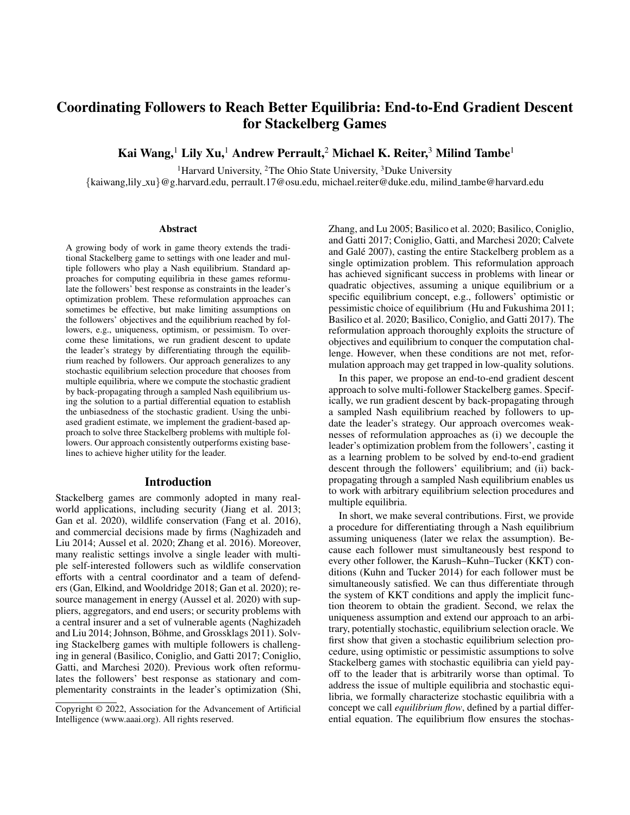first compute the left-hand side of Equation 7 by:

$$
\frac{\partial}{\partial \pi} p(\boldsymbol{x}^{\theta}, \pi^{\theta}) = \frac{\partial}{\partial \pi} c \mathbf{1}_{\boldsymbol{x}^{\theta} = h(\pi^{\theta})}
$$
\n
$$
= c \delta_{\boldsymbol{x}^{\theta} = h(\pi^{\theta})} \frac{dh(\pi^{\theta})}{d\pi}
$$
\n(12)

where Equation 12 is derived by fixing  $x^{\theta}$ , the derivative of a jump function  $\mathbf{1}_{\mathbf{x}^0=h(\pi^0)}$  is a Dirac delta function located at  $\mathbf{x}^{\theta} = h(\pi^{\theta})$  multiplied by a Jacobian term  $\frac{dh(\pi^{\theta})}{d\pi}$ .

We can also compute the right-hand side of Equation 7 by:

$$
\nabla_x \cdot (p(\boldsymbol{x}^{\theta}, \pi^{\theta}) v(\boldsymbol{x}^{\theta}, \pi^{\theta}))
$$
\n
$$
= v(\boldsymbol{x}^{\theta}, \pi^{\theta}) \frac{\partial}{\partial \boldsymbol{x}} p(\boldsymbol{x}^{\theta}, \pi^{\theta}) + p(\boldsymbol{x}^{\theta}, \pi^{\theta}) \frac{\partial}{\partial \boldsymbol{x}} v(\boldsymbol{x}^{\theta}, \pi^{\theta}) \qquad (13)
$$
\n
$$
= \frac{dh(\pi^{\theta})}{d\pi} \frac{\partial}{\partial \boldsymbol{x}} c \mathbf{1}_{\boldsymbol{x}^{\theta} = h(\pi^{\theta})}
$$
\n
$$
= c \delta_{\boldsymbol{x}^{\theta} = h(\pi^{\theta})} \frac{dh(\pi^{\theta})}{d\pi} \qquad (14)
$$

where the second term in Equation 13 is 0 because we define  $v(x^{\theta}, \pi^{\theta}) = \frac{dh(\pi^{\theta})}{d\pi}$ , which is independent of  $x^{\theta}$ . Equation 14 is derived by fixing  $\pi^{\theta}$ , the derivative of a jump function is a Dirac delta function located at  $x^{\theta} = \pi^{\theta}$ .

The above calculation shows that Equation 12 is identical to Equation 14, which implies the left-hand side and the right-hand side of Equation 7 are equal. Therefore, we conclude that the choice of  $v(x^{\theta}, \pi^{\theta}) = \frac{dx^{\theta}}{d\pi} = \frac{dh(\pi^{\theta})}{d\pi}$  is a homogeneous solution to differential equation in Equation 7 locally in  $\pi^0 \in U$ . By the definition of the equilibrium flow,  $v(\mathbf{x}^{\theta}, \pi^{\theta}) = \frac{d\mathbf{x}^{\theta}}{d\pi}$  is a solution to the equilibrium flow because we can subtract the homogeneous solution and define a new partial differential equation without region  $U$  to compute the solution outside of U. П

## Limitation of Theorem 2 and Theorem 3

Although Theorem 2 always holds, the main challenge preventing us from directly applying Theorem 2 is that we do not know the equilibrium flow in advance. Given the probability density function of the equilibrium oracle, we can compute the equilibrium flow by solving the partial differential equation in Equation 7. However, the probability density function is generally not given.

Theorem 3 tells us that the derivative computed in Equation 5 is exactly the equilibrium flow defined by the partial differential equation when the sampled equilibrium admits to an invertible KKT matrix and is locally sampled with a fixed probability. That is to say, when these conditions hold, we can treat the equilibrium sampled from a distribution over multiple equilibria as a unique equilibrium to differentiate through as discussed in the section of unique Nash equilibrium. These conditions are also satisfied when the sampled equilibrium is locally stable without any discontinuous jump, generalizing the differentiability of unique Nash equilibrium and globally isolated Nash equilibria to the case with only conditions on the sampled Nash equilibrium.

## Dimensionality and Computation Cost

## Dimensionality of Control Parameters

We discuss the solution quality attained and computation costs required by different optimization methods. To understand the results, it is useful to compare the role and dimensionality of the environment parameter  $\pi$  in each setting.

- *Normal-form games*: parameter π corresponds to the non-negative subsidies provided to each follower for each entry of its payoff matrix. We have  $\dim(\pi)$  =  $n \prod_{i=1}^{n} m_i = nm^n$ , where for simplicity we set  $m_i = m$ for all i.
- *Stackelberg security games:* parameter  $\pi$  refers to the non-negative subsidies provided to each follower at each available target. Because each follower  $i$  can only cover targets  $T_i \subseteq T$ , we have  $\dim(\pi) = \sum_{i=1}^n |T_i| = nm$ , where we set  $|T_i| = m$  for all *i*.
- *Cyber insurance games*: each insurance plan is composed of a premium and a coverage amount. Therefore in total,  $\dim(\pi) = 2n$ , the smallest out of the three tasks.

#### Computation Cost

In Figure 5, we compare the computation cost per iteration of equilibrium-finding oracle (forward) and the gradient oracle (backward). Due to the hardness of the Nash equilibrium-finding problem, no equilibrium oracle is likely to have polynomial-time complexity in the forward pass (computing an equilibrium). We instead focus more on the computation cost of the backward pass (differentiating through an equilibrium).

As we can see in Equation 5, the complexity of gradient computation is dominated by inverting the KKT matrix with size  $L = O(nm)$  and the dimensionality of environment parameter  $\pi$  since the matrix  $\frac{dx}{d\pi}$  is of size  $L \times$  $\dim(\pi)$ . Therefore, the complexity of the backward pass is bounded above by  $O(L^{\alpha}) + O(L^2 \dim(\pi)) = O(n^{\alpha} m^{\alpha}) +$  $O(n^2m^2\dim(\pi))$  with  $\alpha = 2.373$ .

- In Figure 5(a), the complexity is given by  $O(n^2m^2 \dim(\pi)) = O(n^3m^{n+2}) = O(m^5)$  where we set  $n = 3$  with varied m, number of actions per follower, shown in the  $x$ -axis.
- In Figure 5(b), the complexity is  $O(n^2m^2\dim(\pi))$  =  $O(m^3)$  with  $n = 5$  and varied m, number of actions per follower, shown in the  $x$ -axis.
- In Figure 5(c), the complexity is  $O(n^2m^2\dim(\pi))$  =  $O(n^3)$  with  $m = 1$  and varied number of followers n shown in the  $x$ -axis. The runtime of the forward pass increases drastically, while the runtime of the backward pass remains polynomial.

In all three examples, the gradient computation (backward) has polynomial complexity and is faster than the equilibrium finding oracle (forward). Numerical gradient estimation in gradient-free methods requires repeatedly accessing the forward pass, which can be even more expensive than our gradient computation.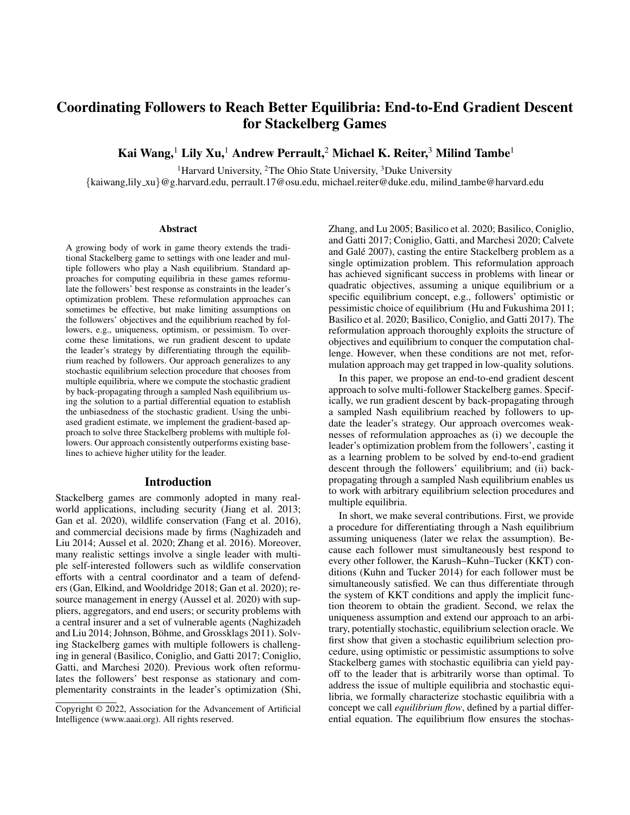

(a) Normal-form games with  $n = 3$  followers and varied m strategies per follower.

(b) Stackelberg security games with  $n = 5$ followers and varied  $m$  strategies per follower.

(c) Cyber insurance games with  $m = 1$  dimensional investment decision and varied n.

Figure 5: We compare the computation cost of equilibrium computation (forward) and the gradient access (backward) per iteration. Backward pass is cheaper than forward pass in all three domains. Gradient-based method runs a forward pass and a backward pass per iteration, while gradient-free method requires many forward passes to perform one step of local search.

 $\pi$ 

## Optimization Reformulation of the Stackelberg Problems with Multiple Followers

In this section, we describe how to reformulate the leader's optimization problem with multiple followers involved into an single-level optimization problem with stationary and complementarity constraints. Notice that this reformulation requires the assumption that all followers break ties in favor of the leader, while our gradient-based method can deal with arbitrary oracle access not limited to any tie-breaking rules.

#### Normal-Form Games with Risk Penalty

In this example, the followers' objectives are defined by:

$$
f_i(\boldsymbol{x}, \pi) = U_i(\boldsymbol{x}) + \pi_i(\boldsymbol{x}) - H(x_i) / \lambda, \qquad (15)
$$

where  $U_i$  is the given payoff matrix and  $\pi_i$  is the subsidy provided by the leader.  $H$  is the Gibbs entropy denoting the risk aversion penalty.

The leader's objective and the constraint are respectively defined by:

$$
f(\mathbf{x}, \pi) = \sum_{i \geq [n]} U_i(\mathbf{x})
$$
  

$$
g(\mathbf{x}, \pi) = \left(\sum_{i \geq [n]} \pi_i(\mathbf{x})\right) - B \leq 0.
$$

Bilevel optimization formulation we can write the followers' best response into the leader's optimization problem:

$$
\max_{\boldsymbol{\pi}} f(\boldsymbol{x}) = \sum_{i \geq [n]} U_i(\boldsymbol{x}) = U(\boldsymbol{x})
$$
\n
$$
\text{s.t.} \quad x_i \in [0, 1]^{m_i}, \mathbf{1}^> x_i = 1 \qquad \forall i \in [n]
$$
\n
$$
x_i = \arg \max_{x \geq X_i} f_i(x_i, x_i, \boldsymbol{\pi}) \qquad \forall i \in [n]
$$
\n
$$
\pi(\boldsymbol{x}) \leq B
$$

where  $f_i$  is defined in Equation 15. By converting the innerlevel optimization problem to its KKT conditions, we can rewrite the optimization problem as:

$$
\min_{\mathbf{x}, \mathbf{x}, \mathbf{y}, \mathbf{y}, \mathbf{z}} - f(\mathbf{x}) = -U(\mathbf{x})
$$
\n
$$
\text{s.t. } x_i, \quad \mathbf{1}^> x_i = 1 \qquad \forall i \in [n]
$$
\n
$$
\lambda_i, \mu_i \in \mathbb{R}^{m_i}, \nu_i \in \mathbb{R} \qquad \forall i \in [n]
$$
\n
$$
\lambda_{i,j} x_{i,j} = 0 \qquad \forall i \in [n], j \in [m_i]
$$
\n
$$
\mu_{i,j}(1 - x_{i,j}) = 0 \qquad \forall i \in [n], j \in [m_i]
$$
\n
$$
-\nabla_{x_i} f_i - \lambda_i + \mu_i + \nu_i \mathbf{1} = 0 \qquad \forall i \in [n]
$$
\n
$$
\pi(\mathbf{x}) \le B
$$

We add dual variables  $\lambda_i, \mu_i$  to the inequality constraints  $x_{i,j} \geq 0$  and  $x_{i,j} \leq 1$  respectively. We also add dual variables  $\nu_i$  to the equality constraints  $1^x x_i = 1$ . We can explicitly write down the gradient:

$$
\nabla_{x_i} f_i(x_i, x_{i}, \boldsymbol{\pi}) = (U_i + \boldsymbol{\pi}_i)(x_{i}) - \sum_j (1 + \log x_{ij})/\lambda
$$
\n(16)

where  $\lambda$  here is a specific constant (different from the Lagrangian multipliers), which is chosen to be 1 in our implementation.

## Stackelberg Security Games With Multiple Defenders

The followers' objectives are defined by:

$$
f_i(\mathbf{x}, \pi) = \sum_{t \ge T_i} (U_{i,t} + \pi_{i,t})(1 - y_t)p_t, \qquad (17)
$$

where  $U_{i,t}$  is the loss received by defender i when target t is successfully attacked, and  $\pi_{i,t}$  is the corresponding reimbursement provided by the leader to remedy the loss. We define  $y_t := 1 - \prod_i (1 - x_{i,t})$  to denote the effective coverage of target  $t$ , representing the probability that target  $t$  is protected under the overlapping protection patrol plan  $x$ . Given the effective coverage of all targets, we assume the attacker attacks target t with probability  $p_t =$  $e^{-\omega y_t + a_t}/(\sum_{s \geq T} e^{-\omega y_s + a_s})$ , where  $a_t \in \mathbb{R}$  is a known attractiveness value and  $\omega \geq 0$  is a scaling constant.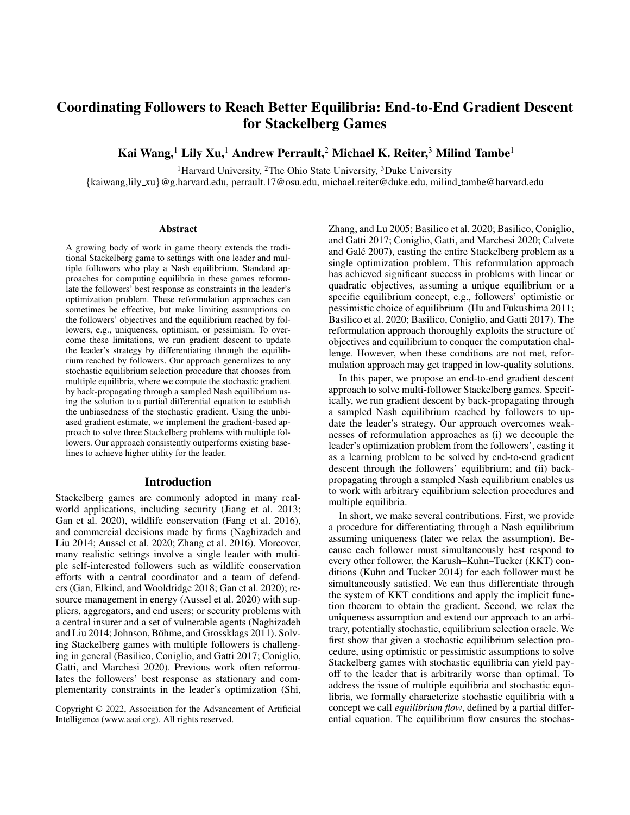The leader's objective and constraint are respectively defined by:

$$
f(\mathbf{x}, \pi) = \sum_{t \geq T} U_t (1 - y_t) p_t
$$
  

$$
g(\mathbf{x}, \pi) = \left(\sum_{i,t} \pi_{i,t} (1 - y_t) p_t\right) - B \leq 0,
$$

where  $U_t < 0$  is the penalty for the leader when target t is attacked without any coverage.

Bilevel optimization formulation Similarly, we can also write down the bilevel optimization formulation of the Stackelberg security games with multiple defenders as:

$$
\max_{\pi} f(\mathbf{x}) = \sum_{t \ge T} U_t (1 - y_t) p_t
$$
\n
$$
\text{s.t.} \quad x_{i,t} \in [0,1] \qquad \qquad \forall i \in [n], t \in T_i
$$
\n
$$
y_t, y_t \in \mathbb{R} \qquad \qquad \forall t \in T
$$

$$
\sum_{t \ge T_i} x_{i,t} = b_i \qquad \forall i \in [n]
$$

$$
y_t = 1 - \prod_{i:t \ge T_i} (1 - x_{i,t}) \qquad \forall t \in T
$$

$$
p_t = \frac{e^{-\omega y_t + a_t}}{\sum_{s \ge T} e^{-\omega y_s + a_s}} \qquad \forall t \in T
$$

$$
x_i = \arg\max_{x \in X_i} f_i(x_i, x_{i}, \pi) \qquad \forall i \in [n]
$$

$$
\sum_{i,t}\left(\pi_{i,t}^u(1-y_t)p_t\!+\!\pi_{i,t}^cy_tp_t\right)\!\le\! B
$$

where  $p_t$  is the probability that attacker will attack target t under protect scheme  $x$  and the resulting  $y$ . The function  $f_i$ is defined in by:

$$
f_i(\mathbf{x}, \pi) = \sum_{t \ge T_i} (U_{i,t} + \pi_{i,t})(1 - y_t)p_t.
$$
 (18)

This bilevel optimization problem can be reformulated into a single level optimization problem if we assume all the individual followers break ties (equilibria) in favor of the leader, which is given by:

$$
\max_{\pi, \mathbf{x}, \mathbf{\lambda}, \mu, \nu} \sum_{t \ge T} U_t (1 - y_t) p_t
$$
\n
$$
\text{s.t. } x_{i,t} \in [0, 1] \qquad \qquad \forall i \in [n], t \in T_i
$$
\n
$$
y_t, p_t \in \mathbb{R} \qquad \qquad \forall t \in T
$$

$$
\sum\nolimits_{t\geq T_i} x_{i,t} = b_i \qquad \qquad \forall i\in [n]
$$

$$
y_t = 1 - \prod_{i:t \ge T_i} (1 - x_{i,t}) \qquad \forall t \in T
$$

$$
p_t = \frac{e^{-\omega y_t + a_t}}{\sum_{s \ge T} e^{-\omega y_s + a_s}} \qquad \forall t \in T
$$

$$
\lambda_{i,t}, \mu_{i,t} \in \mathbb{R} \quad 0, \nu_i \in \mathbb{R} \quad 0 \qquad \qquad \forall i \in [n], t \in T_i
$$
  

$$
\lambda_{i,t} x_{i,t} = 0 \qquad \qquad \forall i \in [n], t \in T_i
$$

$$
\mu_{i,t}(1 - x_{i,t}) = 0 \qquad \forall i \in [n], t \in T_i
$$
  
-  $\nabla_{x_i} f_i - \lambda_i + \mu_i + \nu_i \mathbf{1} = 0 \qquad \forall i \in [n]$   

$$
\sum_{i,t} (\pi_{i,t}^u (1 - y_t) p_t + \pi_{i,t}^c y_t p_t) \le B
$$

Similarly, we add dual variables  $\lambda_{i,t}, \mu_{i,t}, \nu_i$  to constraints  $x_{i,t} \geq 0$ ,  $x_{i,t} \leq 1$ , and  $\sum_{t \geq T_i} x_{i,t} = b_i$ .

## Cyber Insurance Games

The followers' objectives are defined by:

$$
f_i(\boldsymbol{x}, \pi) = -c_i x_i - \rho_i - (L_i - I_i) q_i - \gamma |L_i - I_i| \sqrt{q_i (1 - q_i)},
$$
\n(19)

where  $c_i$  is the unit cost of the protection  $x_i$  and  $L_i$  is the loss when the computer is attacked. The insurance plan offered to agent *i* is denoted by  $(\rho_i, I_i)$ , where  $\rho_i$  is the fixed premium paid to enroll in the insurance plan and  $I_i$  is the compensation received when the computer is attacked.

We assume the computer is attacked with a probability  $q_i$ , where  $q_i = \sigma(-\sum_{j=1}^n w_{ij} x_j + v L_i)$  with  $\sigma$  being sigmoid function, a matrix  $W = \{w_{ij} > 0\}_{i,j \geq [n]}$  to represent the interconnectedness between agents,  $v \geq 0$  to reflect the attacker's preference over high-value targets, and lastly it depends on the loss  $L_i$  incurred by agent i when attacked. This attack probability is a smooth non-convex function, which makes the reformulation approach hard and the non-convexity can lead to multiple equilibria reached by the followers.

The last term in Equation 19 is the risk penalty to agent  $i$ . This term is the standard deviation of the loss received by agent *i*. We assume the agent is risk averse and thus penalized by a constant time of the standard deviation.

On the other hand, the leader's objective is defined by:

$$
f(\boldsymbol{x}, \pi) = \sum_{i=1}^{n} -I_i q_i + \rho_i
$$

where the leader's objective is simply the total revenue received by the insurer, which includes the premium collected from all agents and the compensation paid to all agents.

The constraints are the individual rationality of each agent, where the customized insurance plan needs to incentivize the agent to purchase the insurance plan. In other words, the compensation  $I_i$  and premium  $\rho_i$  must incentivize agents to purchase the insurance plan by making the payoff with insurance no worse than the payoff without.

$$
g_i(\boldsymbol{x}, \pi) = \left(-c_i x_i - L_i q_i - \gamma L_i \sqrt{q_i(1-q_i)}\right) - f_i(\boldsymbol{x}, \pi) \leq 0.
$$

Bilevel optimization reformulation The bilevel optimization formulation for the cyber insurance domain with an external insurer is given by:

$$
\max_{\boldsymbol{\pi}} f(\boldsymbol{x}) = \sum_{i=1}^{n} -I_i q_i + \rho_i
$$
\n
$$
\text{s.t.} \quad x_i \in [0, \infty)
$$
\n
$$
\forall i \in [n]
$$

$$
q_i = \sigma \left( -\sum_{j=1}^n w_{ij} x_j + v L_i \right) \qquad \forall i \in [n]
$$

$$
x_i = \arg\max_{x_i^0 \ge X_i} f_i(x_i^0, x_{i}, \pi) \qquad \forall i \in [n]
$$

$$
-c_i x_i - L_i q_i - \gamma L_i \sqrt{q_i (1 - q_i)} \le f_i(\boldsymbol{x}, \pi) \quad \forall i \in [n]
$$

where  $f_i(x, \pi) = -c_i x_i - \rho_i - (L_i - I_i) q_i \gamma \|L_i - I_i\| \sqrt{q_i(1 - q_i)}.$